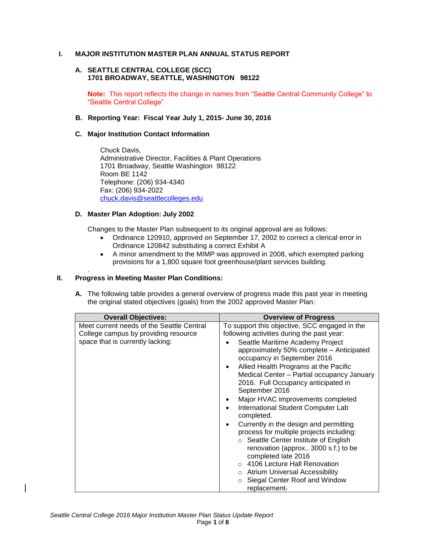## **I. MAJOR INSTITUTION MASTER PLAN ANNUAL STATUS REPORT**

### **A. SEATTLE CENTRAL COLLEGE (SCC) 1701 BROADWAY, SEATTLE, WASHINGTON 98122**

**Note:** This report reflects the change in names from "Seattle Central Community College" to "Seattle Central College"

### **B. Reporting Year: Fiscal Year July 1, 2015- June 30, 2016**

## **C. Major Institution Contact Information**

Chuck Davis, Administrative Director, Facilities & Plant Operations 1701 Broadway, Seattle Washington 98122 Room BE 1142 Telephone: (206) 934-4340 Fax: (206) 934-2022 [chuck.davis@seattlecolleges.edu](mailto:chuck.davis@seattlecolleges.edu)

## **D. Master Plan Adoption: July 2002**

Changes to the Master Plan subsequent to its original approval are as follows:

- Ordinance 120910, approved on September 17, 2002 to correct a clerical error in Ordinance 120842 substituting a correct Exhibit A
- A minor amendment to the MIMP was approved in 2008, which exempted parking provisions for a 1,800 square foot greenhouse/plant services building.

#### . **II. Progress in Meeting Master Plan Conditions:**

**A.** The following table provides a general overview of progress made this past year in meeting the original stated objectives (goals) from the 2002 approved Master Plan:

| <b>Overall Objectives:</b>                                                                                            | <b>Overview of Progress</b>                                                                                                                                                                                                                                                                                                                                                                                                                                                                                                                                                                                                                                                                                                                                                             |
|-----------------------------------------------------------------------------------------------------------------------|-----------------------------------------------------------------------------------------------------------------------------------------------------------------------------------------------------------------------------------------------------------------------------------------------------------------------------------------------------------------------------------------------------------------------------------------------------------------------------------------------------------------------------------------------------------------------------------------------------------------------------------------------------------------------------------------------------------------------------------------------------------------------------------------|
| Meet current needs of the Seattle Central<br>College campus by providing resource<br>space that is currently lacking: | To support this objective, SCC engaged in the<br>following activities during the past year:<br>Seattle Maritime Academy Project<br>approximately 50% complete - Anticipated<br>occupancy in September 2016<br>Allied Health Programs at the Pacific<br>٠<br>Medical Center - Partial occupancy January<br>2016. Full Occupancy anticipated in<br>September 2016<br>Major HVAC improvements completed<br>International Student Computer Lab<br>completed.<br>Currently in the design and permitting<br>process for multiple projects including:<br>○ Seattle Center Institute of English<br>renovation (approx 3000 s.f.) to be<br>completed late 2016<br>o 4106 Lecture Hall Renovation<br>o Atrium Universal Accessibility<br>Siegal Center Roof and Window<br>$\circ$<br>replacement- |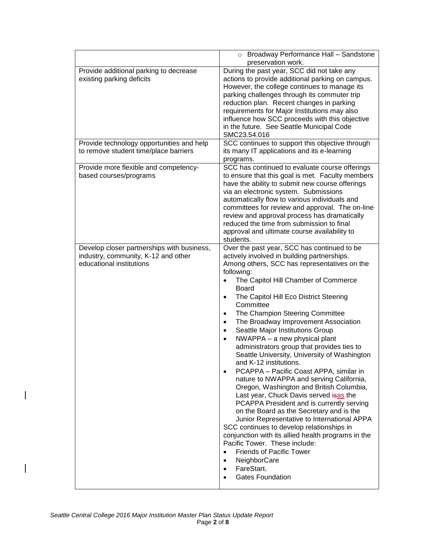|                                                                                                               | Broadway Performance Hall - Sandstone<br>$\circ$<br>preservation work.                                                                                                                                                                                                                                                                                                                                                                                                                                                                                                                                                                                                                                                                                                                                                                                                                                                                                                                                                                                                                                                                                                                                                            |
|---------------------------------------------------------------------------------------------------------------|-----------------------------------------------------------------------------------------------------------------------------------------------------------------------------------------------------------------------------------------------------------------------------------------------------------------------------------------------------------------------------------------------------------------------------------------------------------------------------------------------------------------------------------------------------------------------------------------------------------------------------------------------------------------------------------------------------------------------------------------------------------------------------------------------------------------------------------------------------------------------------------------------------------------------------------------------------------------------------------------------------------------------------------------------------------------------------------------------------------------------------------------------------------------------------------------------------------------------------------|
| Provide additional parking to decrease<br>existing parking deficits                                           | During the past year, SCC did not take any<br>actions to provide additional parking on campus.<br>However, the college continues to manage its<br>parking challenges through its commuter trip<br>reduction plan. Recent changes in parking<br>requirements for Major Institutions may also<br>influence how SCC proceeds with this objective<br>in the future. See Seattle Municipal Code<br>SMC23.54.016                                                                                                                                                                                                                                                                                                                                                                                                                                                                                                                                                                                                                                                                                                                                                                                                                        |
| Provide technology opportunities and help<br>to remove student time/place barriers                            | SCC continues to support this objective through<br>its many IT applications and its e-learning<br>programs.                                                                                                                                                                                                                                                                                                                                                                                                                                                                                                                                                                                                                                                                                                                                                                                                                                                                                                                                                                                                                                                                                                                       |
| Provide more flexible and competency-<br>based courses/programs                                               | SCC has continued to evaluate course offerings<br>to ensure that this goal is met. Faculty members<br>have the ability to submit new course offerings<br>via an electronic system. Submissions<br>automatically flow to various individuals and<br>committees for review and approval. The on-line<br>review and approval process has dramatically<br>reduced the time from submission to final<br>approval and ultimate course availability to<br>students.                                                                                                                                                                                                                                                                                                                                                                                                                                                                                                                                                                                                                                                                                                                                                                      |
| Develop closer partnerships with business,<br>industry, community, K-12 and other<br>educational institutions | Over the past year, SCC has continued to be<br>actively involved in building partnerships.<br>Among others, SCC has representatives on the<br>following:<br>The Capitol Hill Chamber of Commerce<br>$\bullet$<br><b>Board</b><br>The Capitol Hill Eco District Steering<br>$\bullet$<br>Committee<br>The Champion Steering Committee<br>$\bullet$<br>The Broadway Improvement Association<br>$\bullet$<br>Seattle Major Institutions Group<br>$\bullet$<br>NWAPPA - a new physical plant<br>$\bullet$<br>administrators group that provides ties to<br>Seattle University, University of Washington<br>and K-12 institutions.<br>PCAPPA - Pacific Coast APPA, similar in<br>nature to NWAPPA and serving California,<br>Oregon, Washington and British Columbia,<br>Last year, Chuck Davis served isas the<br>PCAPPA President and is currently serving<br>on the Board as the Secretary and is the<br>Junior Representative to International APPA<br>SCC continues to develop relationships in<br>conjunction with its allied health programs in the<br>Pacific Tower. These include:<br><b>Friends of Pacific Tower</b><br>$\bullet$<br>NeighborCare<br>$\bullet$<br>$FareStart_{\tau}$<br>$\bullet$<br><b>Gates Foundation</b> |

 $\overline{\phantom{a}}$ 

 $\begin{array}{c} \rule{0pt}{2.5ex} \rule{0pt}{2.5ex} \rule{0pt}{2.5ex} \rule{0pt}{2.5ex} \rule{0pt}{2.5ex} \rule{0pt}{2.5ex} \rule{0pt}{2.5ex} \rule{0pt}{2.5ex} \rule{0pt}{2.5ex} \rule{0pt}{2.5ex} \rule{0pt}{2.5ex} \rule{0pt}{2.5ex} \rule{0pt}{2.5ex} \rule{0pt}{2.5ex} \rule{0pt}{2.5ex} \rule{0pt}{2.5ex} \rule{0pt}{2.5ex} \rule{0pt}{2.5ex} \rule{0pt}{2.5ex} \rule{0$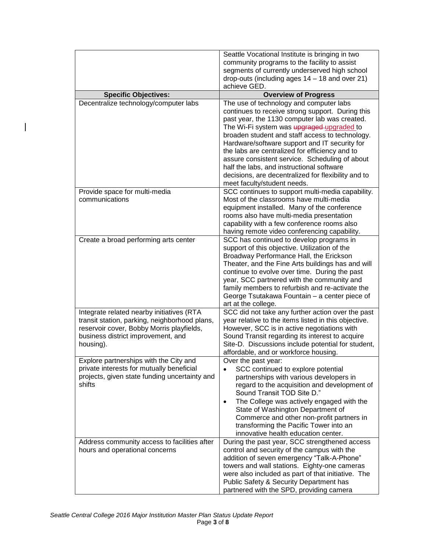|                                                                                                                                                                                            | Seattle Vocational Institute is bringing in two<br>community programs to the facility to assist<br>segments of currently underserved high school<br>drop-outs (including ages $14 - 18$ and over 21)<br>achieve GED.                                                                                                                                                                                                                                                                                                                 |
|--------------------------------------------------------------------------------------------------------------------------------------------------------------------------------------------|--------------------------------------------------------------------------------------------------------------------------------------------------------------------------------------------------------------------------------------------------------------------------------------------------------------------------------------------------------------------------------------------------------------------------------------------------------------------------------------------------------------------------------------|
| <b>Specific Objectives:</b>                                                                                                                                                                | <b>Overview of Progress</b>                                                                                                                                                                                                                                                                                                                                                                                                                                                                                                          |
| Decentralize technology/computer labs                                                                                                                                                      | The use of technology and computer labs<br>continues to receive strong support. During this<br>past year, the 1130 computer lab was created.<br>The Wi-Fi system was upgraged-upgraded to<br>broaden student and staff access to technology.<br>Hardware/software support and IT security for<br>the labs are centralized for efficiency and to<br>assure consistent service. Scheduling of about<br>half the labs, and instructional software<br>decisions, are decentralized for flexibility and to<br>meet faculty/student needs. |
| Provide space for multi-media<br>communications                                                                                                                                            | SCC continues to support multi-media capability.<br>Most of the classrooms have multi-media<br>equipment installed. Many of the conference<br>rooms also have multi-media presentation<br>capability with a few conference rooms also<br>having remote video conferencing capability.                                                                                                                                                                                                                                                |
| Create a broad performing arts center                                                                                                                                                      | SCC has continued to develop programs in<br>support of this objective. Utilization of the<br>Broadway Performance Hall, the Erickson<br>Theater, and the Fine Arts buildings has and will<br>continue to evolve over time. During the past<br>year, SCC partnered with the community and<br>family members to refurbish and re-activate the<br>George Tsutakawa Fountain - a center piece of<br>art at the college.                                                                                                                  |
| Integrate related nearby initiatives (RTA<br>transit station, parking, neighborhood plans,<br>reservoir cover, Bobby Morris playfields,<br>business district improvement, and<br>housing). | SCC did not take any further action over the past<br>year relative to the items listed in this objective.<br>However, SCC is in active negotiations with<br>Sound Transit regarding its interest to acquire<br>Site-D. Discussions include potential for student,<br>affordable, and or workforce housing.                                                                                                                                                                                                                           |
| Explore partnerships with the City and<br>private interests for mutually beneficial<br>projects, given state funding uncertainty and<br>shifts                                             | Over the past year:<br>SCC continued to explore potential<br>partnerships with various developers in<br>regard to the acquisition and development of<br>Sound Transit TOD Site D."<br>The College was actively engaged with the<br>$\bullet$<br>State of Washington Department of<br>Commerce and other non-profit partners in<br>transforming the Pacific Tower into an<br>innovative health education center.                                                                                                                      |
| Address community access to facilities after<br>hours and operational concerns                                                                                                             | During the past year, SCC strengthened access<br>control and security of the campus with the<br>addition of seven emergency "Talk-A-Phone"<br>towers and wall stations. Eighty-one cameras<br>were also included as part of that initiative. The<br>Public Safety & Security Department has<br>partnered with the SPD, providing camera                                                                                                                                                                                              |

 $\mathsf I$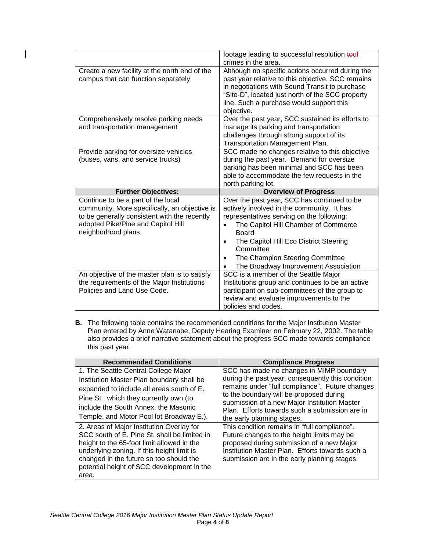|                                                                                                                                                                                                 | footage leading to successful resolution toof<br>crimes in the area.                                                                                                                                                                                                                                                             |
|-------------------------------------------------------------------------------------------------------------------------------------------------------------------------------------------------|----------------------------------------------------------------------------------------------------------------------------------------------------------------------------------------------------------------------------------------------------------------------------------------------------------------------------------|
| Create a new facility at the north end of the<br>campus that can function separately                                                                                                            | Although no specific actions occurred during the<br>past year relative to this objective, SCC remains<br>in negotiations with Sound Transit to purchase<br>"Site-D", located just north of the SCC property<br>line. Such a purchase would support this<br>objective.                                                            |
| Comprehensively resolve parking needs<br>and transportation management                                                                                                                          | Over the past year, SCC sustained its efforts to<br>manage its parking and transportation<br>challenges through strong support of its<br><b>Transportation Management Plan.</b>                                                                                                                                                  |
| Provide parking for oversize vehicles<br>(buses, vans, and service trucks)                                                                                                                      | SCC made no changes relative to this objective<br>during the past year. Demand for oversize<br>parking has been minimal and SCC has been<br>able to accommodate the few requests in the                                                                                                                                          |
|                                                                                                                                                                                                 | north parking lot.                                                                                                                                                                                                                                                                                                               |
| <b>Further Objectives:</b>                                                                                                                                                                      | <b>Overview of Progress</b>                                                                                                                                                                                                                                                                                                      |
| Continue to be a part of the local<br>community. More specifically, an objective is<br>to be generally consistent with the recently<br>adopted Pike/Pine and Capitol Hill<br>neighborhood plans | Over the past year, SCC has continued to be<br>actively involved in the community. It has<br>representatives serving on the following:<br>The Capitol Hill Chamber of Commerce<br><b>Board</b><br>The Capitol Hill Eco District Steering<br>Committee<br>The Champion Steering Committee<br>The Broadway Improvement Association |

**B.** The following table contains the recommended conditions for the Major Institution Master Plan entered by Anne Watanabe, Deputy Hearing Examiner on February 22, 2002. The table also provides a brief narrative statement about the progress SCC made towards compliance this past year.

| <b>Recommended Conditions</b>                                                                                                                                                                                                                                                           | <b>Compliance Progress</b>                                                                                                                                                                                                                        |
|-----------------------------------------------------------------------------------------------------------------------------------------------------------------------------------------------------------------------------------------------------------------------------------------|---------------------------------------------------------------------------------------------------------------------------------------------------------------------------------------------------------------------------------------------------|
| 1. The Seattle Central College Major                                                                                                                                                                                                                                                    | SCC has made no changes in MIMP boundary                                                                                                                                                                                                          |
| Institution Master Plan boundary shall be<br>expanded to include all areas south of E.<br>Pine St., which they currently own (to<br>include the South Annex, the Masonic                                                                                                                | during the past year, consequently this condition<br>remains under "full compliance". Future changes<br>to the boundary will be proposed during<br>submission of a new Major Institution Master<br>Plan. Efforts towards such a submission are in |
| Temple, and Motor Pool lot Broadway E.).                                                                                                                                                                                                                                                | the early planning stages.                                                                                                                                                                                                                        |
| 2. Areas of Major Institution Overlay for<br>SCC south of E. Pine St. shall be limited in<br>height to the 65-foot limit allowed in the<br>underlying zoning. If this height limit is<br>changed in the future so too should the<br>potential height of SCC development in the<br>area. | This condition remains in "full compliance".<br>Future changes to the height limits may be<br>proposed during submission of a new Major<br>Institution Master Plan. Efforts towards such a<br>submission are in the early planning stages.        |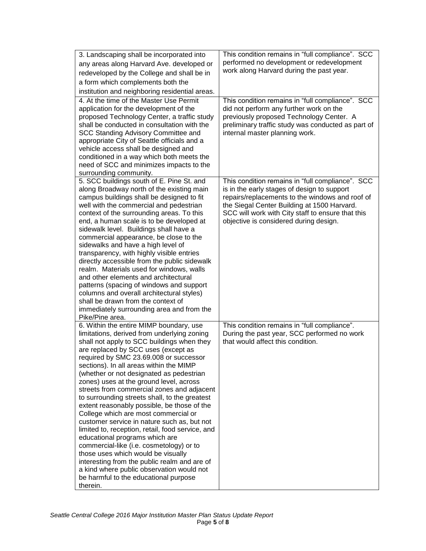| 3. Landscaping shall be incorporated into<br>any areas along Harvard Ave. developed or<br>redeveloped by the College and shall be in<br>a form which complements both the<br>institution and neighboring residential areas.<br>4. At the time of the Master Use Permit<br>application for the development of the                                                                                                                                                                                                                                                                                                                                                                                                                                                                                                                                                                                                       | This condition remains in "full compliance". SCC<br>performed no development or redevelopment<br>work along Harvard during the past year.<br>This condition remains in "full compliance". SCC<br>did not perform any further work on the                                                         |
|------------------------------------------------------------------------------------------------------------------------------------------------------------------------------------------------------------------------------------------------------------------------------------------------------------------------------------------------------------------------------------------------------------------------------------------------------------------------------------------------------------------------------------------------------------------------------------------------------------------------------------------------------------------------------------------------------------------------------------------------------------------------------------------------------------------------------------------------------------------------------------------------------------------------|--------------------------------------------------------------------------------------------------------------------------------------------------------------------------------------------------------------------------------------------------------------------------------------------------|
| proposed Technology Center, a traffic study<br>shall be conducted in consultation with the<br>SCC Standing Advisory Committee and<br>appropriate City of Seattle officials and a<br>vehicle access shall be designed and<br>conditioned in a way which both meets the<br>need of SCC and minimizes impacts to the<br>surrounding community.                                                                                                                                                                                                                                                                                                                                                                                                                                                                                                                                                                            | previously proposed Technology Center. A<br>preliminary traffic study was conducted as part of<br>internal master planning work.                                                                                                                                                                 |
| 5. SCC buildings south of E. Pine St. and<br>along Broadway north of the existing main<br>campus buildings shall be designed to fit<br>well with the commercial and pedestrian<br>context of the surrounding areas. To this<br>end, a human scale is to be developed at<br>sidewalk level. Buildings shall have a<br>commercial appearance, be close to the<br>sidewalks and have a high level of<br>transparency, with highly visible entries<br>directly accessible from the public sidewalk<br>realm. Materials used for windows, walls<br>and other elements and architectural<br>patterns (spacing of windows and support<br>columns and overall architectural styles)<br>shall be drawn from the context of<br>immediately surrounding area and from the<br>Pike/Pine area.                                                                                                                                      | This condition remains in "full compliance". SCC<br>is in the early stages of design to support<br>repairs/replacements to the windows and roof of<br>the Siegal Center Building at 1500 Harvard.<br>SCC will work with City staff to ensure that this<br>objective is considered during design. |
| 6. Within the entire MIMP boundary, use<br>limitations, derived from underlying zoning<br>shall not apply to SCC buildings when they<br>are replaced by SCC uses (except as<br>required by SMC 23.69.008 or successor<br>sections). In all areas within the MIMP<br>(whether or not designated as pedestrian<br>zones) uses at the ground level, across<br>streets from commercial zones and adjacent<br>to surrounding streets shall, to the greatest<br>extent reasonably possible, be those of the<br>College which are most commercial or<br>customer service in nature such as, but not<br>limited to, reception, retail, food service, and<br>educational programs which are<br>commercial-like (i.e. cosmetology) or to<br>those uses which would be visually<br>interesting from the public realm and are of<br>a kind where public observation would not<br>be harmful to the educational purpose<br>therein. | This condition remains in "full compliance".<br>During the past year, SCC performed no work<br>that would affect this condition.                                                                                                                                                                 |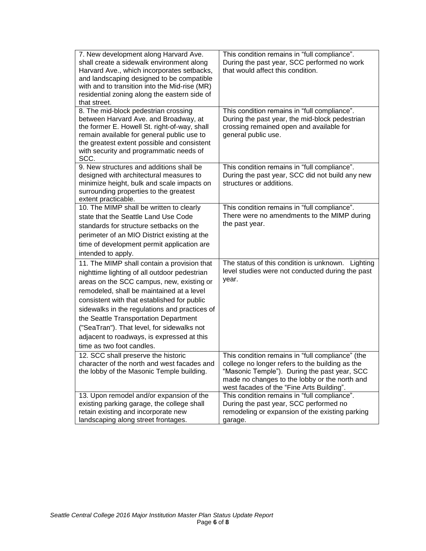| 7. New development along Harvard Ave.<br>shall create a sidewalk environment along<br>Harvard Ave., which incorporates setbacks,<br>and landscaping designed to be compatible<br>with and to transition into the Mid-rise (MR)<br>residential zoning along the eastern side of<br>that street.                                                                                                                                                          | This condition remains in "full compliance".<br>During the past year, SCC performed no work<br>that would affect this condition.                                                                                                                  |
|---------------------------------------------------------------------------------------------------------------------------------------------------------------------------------------------------------------------------------------------------------------------------------------------------------------------------------------------------------------------------------------------------------------------------------------------------------|---------------------------------------------------------------------------------------------------------------------------------------------------------------------------------------------------------------------------------------------------|
| 8. The mid-block pedestrian crossing<br>between Harvard Ave. and Broadway, at<br>the former E. Howell St. right-of-way, shall<br>remain available for general public use to<br>the greatest extent possible and consistent<br>with security and programmatic needs of<br>SCC.                                                                                                                                                                           | This condition remains in "full compliance".<br>During the past year, the mid-block pedestrian<br>crossing remained open and available for<br>general public use.                                                                                 |
| 9. New structures and additions shall be<br>designed with architectural measures to<br>minimize height, bulk and scale impacts on<br>surrounding properties to the greatest<br>extent practicable.                                                                                                                                                                                                                                                      | This condition remains in "full compliance".<br>During the past year, SCC did not build any new<br>structures or additions.                                                                                                                       |
| 10. The MIMP shall be written to clearly<br>state that the Seattle Land Use Code<br>standards for structure setbacks on the<br>perimeter of an MIO District existing at the<br>time of development permit application are<br>intended to apply.                                                                                                                                                                                                         | This condition remains in "full compliance".<br>There were no amendments to the MIMP during<br>the past year.                                                                                                                                     |
| 11. The MIMP shall contain a provision that<br>nighttime lighting of all outdoor pedestrian<br>areas on the SCC campus, new, existing or<br>remodeled, shall be maintained at a level<br>consistent with that established for public<br>sidewalks in the regulations and practices of<br>the Seattle Transportation Department<br>("SeaTran"). That level, for sidewalks not<br>adjacent to roadways, is expressed at this<br>time as two foot candles. | The status of this condition is unknown.<br>Lighting<br>level studies were not conducted during the past<br>year.                                                                                                                                 |
| 12. SCC shall preserve the historic<br>character of the north and west facades and<br>the lobby of the Masonic Temple building.                                                                                                                                                                                                                                                                                                                         | This condition remains in "full compliance" (the<br>college no longer refers to the building as the<br>"Masonic Temple"). During the past year, SCC<br>made no changes to the lobby or the north and<br>west facades of the "Fine Arts Building". |
| 13. Upon remodel and/or expansion of the<br>existing parking garage, the college shall<br>retain existing and incorporate new<br>landscaping along street frontages.                                                                                                                                                                                                                                                                                    | This condition remains in "full compliance".<br>During the past year, SCC performed no<br>remodeling or expansion of the existing parking<br>garage.                                                                                              |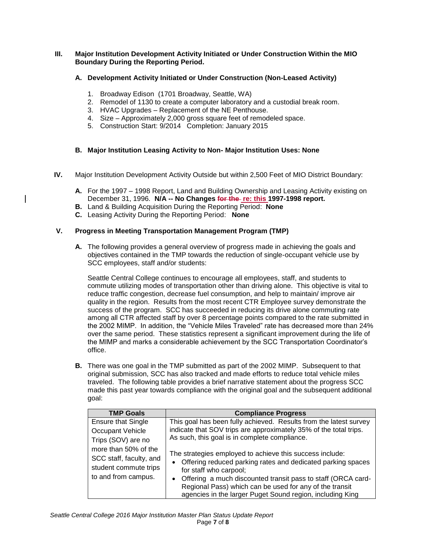# **III. Major Institution Development Activity Initiated or Under Construction Within the MIO Boundary During the Reporting Period.**

# **A. Development Activity Initiated or Under Construction (Non-Leased Activity)**

- 1. Broadway Edison (1701 Broadway, Seattle, WA)
- 2. Remodel of 1130 to create a computer laboratory and a custodial break room.
- 3. HVAC Upgrades Replacement of the NE Penthouse.
- 4. Size Approximately 2,000 gross square feet of remodeled space.
- 5. Construction Start: 9/2014 Completion: January 2015

# **B. Major Institution Leasing Activity to Non- Major Institution Uses: None**

- **IV.** Major Institution Development Activity Outside but within 2,500 Feet of MIO District Boundary:
	- **A.** For the 1997 1998 Report, Land and Building Ownership and Leasing Activity existing on December 31, 1996. N/A -- No Changes for the re: this 1997-1998 report.
	- **B.** Land & Building Acquisition During the Reporting Period: **None**
	- **C.** Leasing Activity During the Reporting Period: **None**

# **V. Progress in Meeting Transportation Management Program (TMP)**

**A.** The following provides a general overview of progress made in achieving the goals and objectives contained in the TMP towards the reduction of single-occupant vehicle use by SCC employees, staff and/or students:

Seattle Central College continues to encourage all employees, staff, and students to commute utilizing modes of transportation other than driving alone. This objective is vital to reduce traffic congestion, decrease fuel consumption, and help to maintain/ improve air quality in the region. Results from the most recent CTR Employee survey demonstrate the success of the program. SCC has succeeded in reducing its drive alone commuting rate among all CTR affected staff by over 8 percentage points compared to the rate submitted in the 2002 MIMP. In addition, the "Vehicle Miles Traveled" rate has decreased more than 24% over the same period. These statistics represent a significant improvement during the life of the MIMP and marks a considerable achievement by the SCC Transportation Coordinator's office.

**B.** There was one goal in the TMP submitted as part of the 2002 MIMP. Subsequent to that original submission, SCC has also tracked and made efforts to reduce total vehicle miles traveled. The following table provides a brief narrative statement about the progress SCC made this past year towards compliance with the original goal and the subsequent additional goal:

| <b>TMP Goals</b>                                                                                | <b>Compliance Progress</b>                                                                                                                                                                                                                                                                                                                                          |
|-------------------------------------------------------------------------------------------------|---------------------------------------------------------------------------------------------------------------------------------------------------------------------------------------------------------------------------------------------------------------------------------------------------------------------------------------------------------------------|
| <b>Ensure that Single</b>                                                                       | This goal has been fully achieved. Results from the latest survey                                                                                                                                                                                                                                                                                                   |
| Occupant Vehicle                                                                                | indicate that SOV trips are approximately 35% of the total trips.                                                                                                                                                                                                                                                                                                   |
| Trips (SOV) are no                                                                              | As such, this goal is in complete compliance.                                                                                                                                                                                                                                                                                                                       |
| more than 50% of the<br>SCC staff, faculty, and<br>student commute trips<br>to and from campus. | The strategies employed to achieve this success include:<br>Offering reduced parking rates and dedicated parking spaces<br>$\bullet$<br>for staff who carpool;<br>Offering a much discounted transit pass to staff (ORCA card-<br>$\bullet$<br>Regional Pass) which can be used for any of the transit<br>agencies in the larger Puget Sound region, including King |